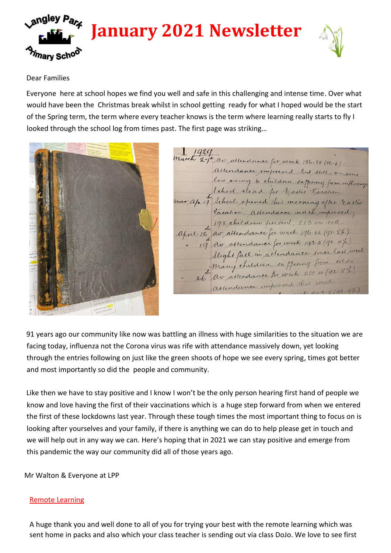



### Dear Families

Everyone here at school hopes we find you well and safe in this challenging and intense time. Over what would have been the Christmas break whilst in school getting ready for what I hoped would be the start of the Spring term, the term where every teacher knows is the term where learning really starts to fly I looked through the school log from times past. The first page was striking…



 $1920$ March 27th av. attendance for week 186.85 (86.5) ce improved but still remains low owing to children suffering from influence Vacation. Attendance much improved. 198 children present, 213 on roll. april 12 av. assendance for week 196.62 (91.8%). 19 av. attendance for week 193.5 (90. 4%) Slight face in attendance since last week. Slight fact in attendance since une attendance improved this week

91 years ago our community like now was battling an illness with huge similarities to the situation we are facing today, influenza not the Corona virus was rife with attendance massively down, yet looking through the entries following on just like the green shoots of hope we see every spring, times got better and most importantly so did the people and community.

Like then we have to stay positive and I know I won't be the only person hearing first hand of people we know and love having the first of their vaccinations which is a huge step forward from when we entered the first of these lockdowns last year. Through these tough times the most important thing to focus on is looking after yourselves and your family, if there is anything we can do to help please get in touch and we will help out in any way we can. Here's hoping that in 2021 we can stay positive and emerge from this pandemic the way our community did all of those years ago.

Mr Walton & Everyone at LPP

## Remote Learning

A huge thank you and well done to all of you for trying your best with the remote learning which was sent home in packs and also which your class teacher is sending out via class DoJo. We love to see first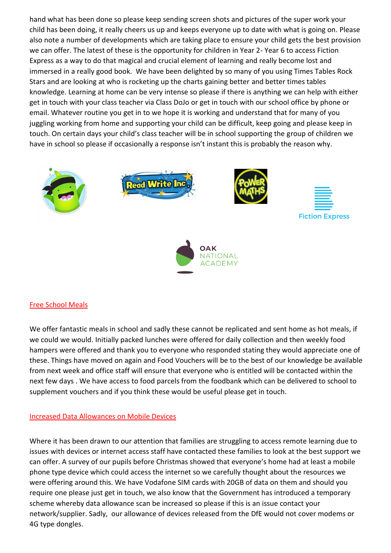hand what has been done so please keep sending screen shots and pictures of the super work your child has been doing, it really cheers us up and keeps everyone up to date with what is going on. Please also note a number of developments which are taking place to ensure your child gets the best provision we can offer. The latest of these is the opportunity for children in Year 2- Year 6 to access Fiction Express as a way to do that magical and crucial element of learning and really become lost and immersed in a really good book. We have been delighted by so many of you using Times Tables Rock Stars and are looking at who is rocketing up the charts gaining better and better times tables knowledge. Learning at home can be very intense so please if there is anything we can help with either get in touch with your class teacher via Class DoJo or get in touch with our school office by phone or email. Whatever routine you get in to we hope it is working and understand that for many of you juggling working from home and supporting your child can be difficult, keep going and please keep in touch. On certain days your child's class teacher will be in school supporting the group of children we have in school so please if occasionally a response isn't instant this is probably the reason why.



# TIONAL **ADEMY**

## Free School Meals

We offer fantastic meals in school and sadly these cannot be replicated and sent home as hot meals, if we could we would. Initially packed lunches were offered for daily collection and then weekly food hampers were offered and thank you to everyone who responded stating they would appreciate one of these. Things have moved on again and Food Vouchers will be to the best of our knowledge be available from next week and office staff will ensure that everyone who is entitled will be contacted within the next few days . We have access to food parcels from the foodbank which can be delivered to school to supplement vouchers and if you think these would be useful please get in touch.

## Increased Data Allowances on Mobile Devices

Where it has been drawn to our attention that families are struggling to access remote learning due to issues with devices or internet access staff have contacted these families to look at the best support we can offer. A survey of our pupils before Christmas showed that everyone's home had at least a mobile phone type device which could access the internet so we carefully thought about the resources we were offering around this. We have Vodafone SIM cards with 20GB of data on them and should you require one please just get in touch, we also know that the Government has introduced a temporary scheme whereby data allowance scan be increased so please if this is an issue contact your network/supplier. Sadly, our allowance of devices released from the DfE would not cover modems or 4G type dongles.